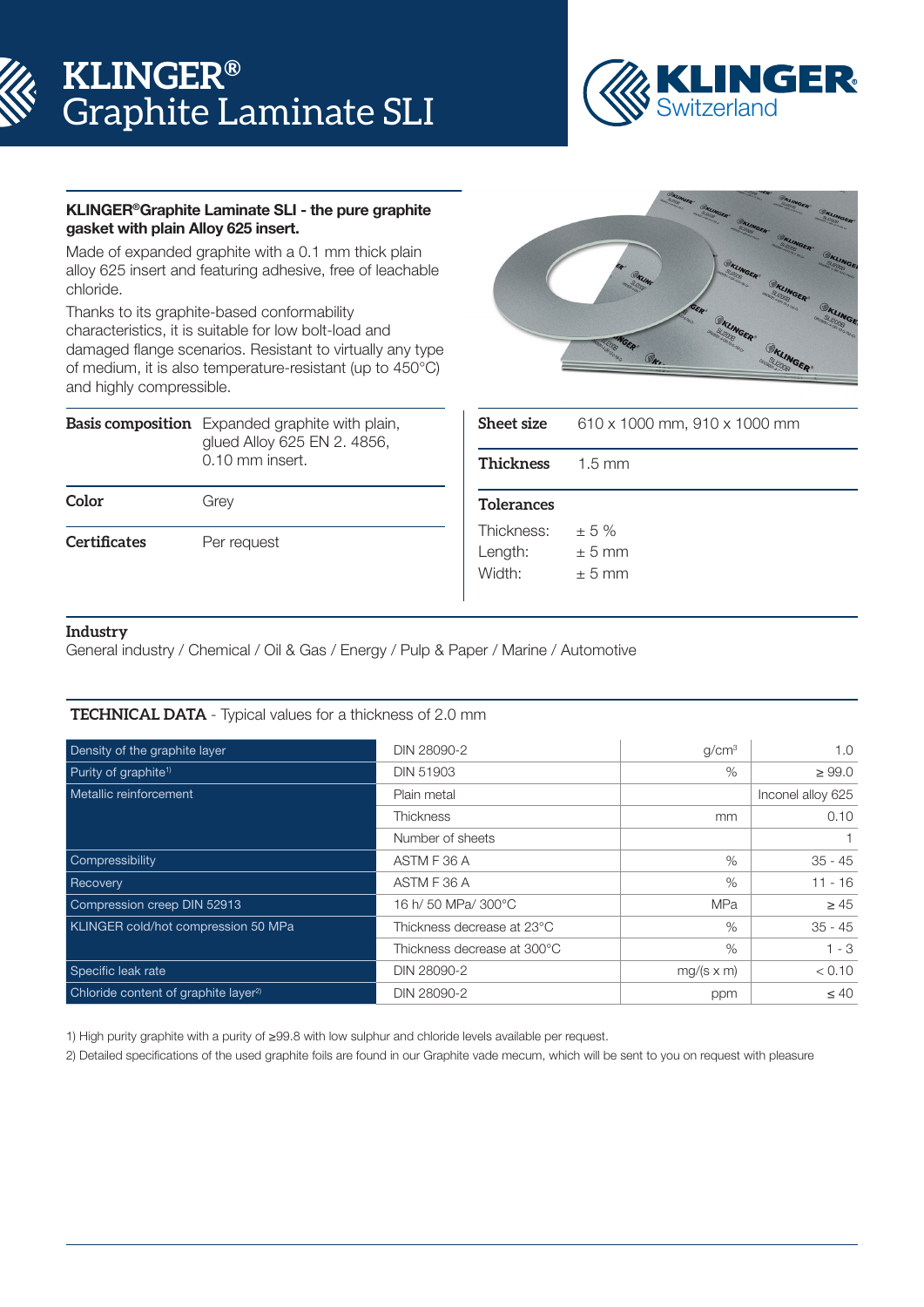

### KLINGER®Graphite Laminate SLI - the pure graphite gasket with plain Alloy 625 insert.

Made of expanded graphite with a 0.1 mm thick plain alloy 625 insert and featuring adhesive, free of leachable chloride.

Thanks to its graphite-based conformability characteristics, it is suitable for low bolt-load and damaged flange scenarios. Resistant to virtually any type of medium, it is also temperature-resistant (up to 450°C) and highly compressible.

|              | <b>Basis composition</b> Expanded graphite with plain,<br>glued Alloy 625 EN 2. 4856,<br>$0.10$ mm insert. |  |  |  |
|--------------|------------------------------------------------------------------------------------------------------------|--|--|--|
| Color        | Grey                                                                                                       |  |  |  |
| Certificates | Per request                                                                                                |  |  |  |



| <b>Sheet size</b>               | 610 x 1000 mm, 910 x 1000 mm     |
|---------------------------------|----------------------------------|
| Thickness                       | $1.5 \text{ mm}$                 |
| <b>Tolerances</b>               |                                  |
| Thickness:<br>Length:<br>Width: | $\pm$ 5 %<br>$± 5$ mm<br>$+5$ mm |

# **Industry**

General industry / Chemical / Oil & Gas / Energy / Pulp & Paper / Marine / Automotive

# **TECHNICAL DATA** - Typical values for a thickness of 2.0 mm

| Density of the graphite layer                    | DIN 28090-2                 | q/cm <sup>3</sup> | 1.0               |
|--------------------------------------------------|-----------------------------|-------------------|-------------------|
| Purity of graphite <sup>1)</sup>                 | <b>DIN 51903</b>            | $\%$              | $\geq 99.0$       |
| Metallic reinforcement                           | Plain metal                 |                   | Inconel alloy 625 |
|                                                  | <b>Thickness</b>            | mm                | 0.10              |
|                                                  | Number of sheets            |                   |                   |
| Compressibility                                  | ASTM F 36 A                 | $\%$              | $35 - 45$         |
| Recovery                                         | ASTM F 36 A                 | $\%$              | $11 - 16$         |
| Compression creep DIN 52913                      | 16 h/ 50 MPa/ 300°C         | <b>MPa</b>        | $\geq 45$         |
| <b>KLINGER cold/hot compression 50 MPa</b>       | Thickness decrease at 23°C  | $\%$              | $35 - 45$         |
|                                                  | Thickness decrease at 300°C | $\%$              | $1 - 3$           |
| Specific leak rate                               | DIN 28090-2                 | $mg/(s \times m)$ | < 0.10            |
| Chloride content of graphite layer <sup>2)</sup> | DIN 28090-2                 | ppm               | < 40              |

1) High purity graphite with a purity of ≥99.8 with low sulphur and chloride levels available per request.

2) Detailed specifications of the used graphite foils are found in our Graphite vade mecum, which will be sent to you on request with pleasure